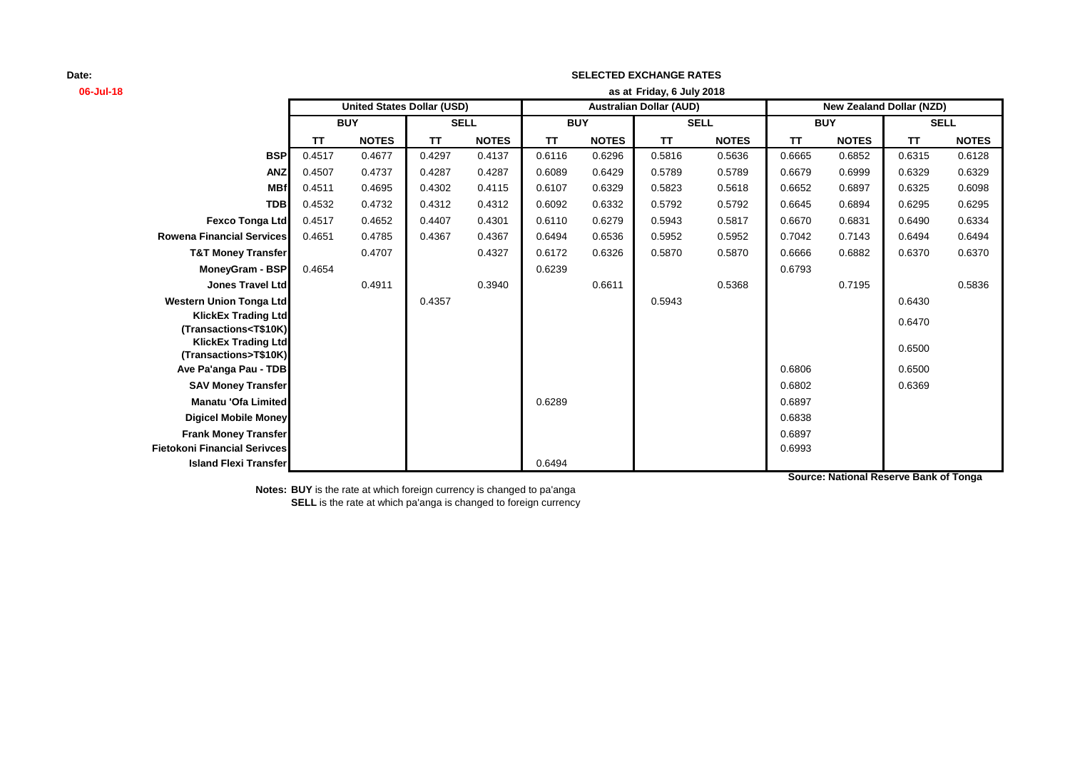| 06-Jul-18                                                                                                                                             |           | as at Friday, 6 July 2018                                                                              |             |              |            |              |             |              |            |              |             |              |
|-------------------------------------------------------------------------------------------------------------------------------------------------------|-----------|--------------------------------------------------------------------------------------------------------|-------------|--------------|------------|--------------|-------------|--------------|------------|--------------|-------------|--------------|
|                                                                                                                                                       |           | <b>United States Dollar (USD)</b><br><b>Australian Dollar (AUD)</b><br><b>New Zealand Dollar (NZD)</b> |             |              |            |              |             |              |            |              |             |              |
|                                                                                                                                                       |           | <b>BUY</b>                                                                                             | <b>SELL</b> |              | <b>BUY</b> |              | <b>SELL</b> |              | <b>BUY</b> |              | <b>SELL</b> |              |
|                                                                                                                                                       | <b>TT</b> | <b>NOTES</b>                                                                                           | <b>TT</b>   | <b>NOTES</b> | <b>TT</b>  | <b>NOTES</b> | <b>TT</b>   | <b>NOTES</b> | TΤ         | <b>NOTES</b> | <b>TT</b>   | <b>NOTES</b> |
| <b>BSP</b>                                                                                                                                            | 0.4517    | 0.4677                                                                                                 | 0.4297      | 0.4137       | 0.6116     | 0.6296       | 0.5816      | 0.5636       | 0.6665     | 0.6852       | 0.6315      | 0.6128       |
| <b>ANZ</b>                                                                                                                                            | 0.4507    | 0.4737                                                                                                 | 0.4287      | 0.4287       | 0.6089     | 0.6429       | 0.5789      | 0.5789       | 0.6679     | 0.6999       | 0.6329      | 0.6329       |
| <b>MBf</b>                                                                                                                                            | 0.4511    | 0.4695                                                                                                 | 0.4302      | 0.4115       | 0.6107     | 0.6329       | 0.5823      | 0.5618       | 0.6652     | 0.6897       | 0.6325      | 0.6098       |
| <b>TDB</b>                                                                                                                                            | 0.4532    | 0.4732                                                                                                 | 0.4312      | 0.4312       | 0.6092     | 0.6332       | 0.5792      | 0.5792       | 0.6645     | 0.6894       | 0.6295      | 0.6295       |
| <b>Fexco Tonga Ltd</b>                                                                                                                                | 0.4517    | 0.4652                                                                                                 | 0.4407      | 0.4301       | 0.6110     | 0.6279       | 0.5943      | 0.5817       | 0.6670     | 0.6831       | 0.6490      | 0.6334       |
| <b>Rowena Financial Services</b>                                                                                                                      | 0.4651    | 0.4785                                                                                                 | 0.4367      | 0.4367       | 0.6494     | 0.6536       | 0.5952      | 0.5952       | 0.7042     | 0.7143       | 0.6494      | 0.6494       |
| <b>T&amp;T Money Transfer</b>                                                                                                                         |           | 0.4707                                                                                                 |             | 0.4327       | 0.6172     | 0.6326       | 0.5870      | 0.5870       | 0.6666     | 0.6882       | 0.6370      | 0.6370       |
| MoneyGram - BSP                                                                                                                                       | 0.4654    |                                                                                                        |             |              | 0.6239     |              |             |              | 0.6793     |              |             |              |
| <b>Jones Travel Ltd</b>                                                                                                                               |           | 0.4911                                                                                                 |             | 0.3940       |            | 0.6611       |             | 0.5368       |            | 0.7195       |             | 0.5836       |
| <b>Western Union Tonga Ltd</b>                                                                                                                        |           |                                                                                                        | 0.4357      |              |            |              | 0.5943      |              |            |              | 0.6430      |              |
| <b>KlickEx Trading Ltd</b>                                                                                                                            |           |                                                                                                        |             |              |            |              |             |              |            |              | 0.6470      |              |
| (Transactions <t\$10k)< th=""><th></th><th></th><th></th><th></th><th></th><th></th><th></th><th></th><th></th><th></th><th></th><th></th></t\$10k)<> |           |                                                                                                        |             |              |            |              |             |              |            |              |             |              |
| <b>KlickEx Trading Ltd</b><br>(Transactions>T\$10K)                                                                                                   |           |                                                                                                        |             |              |            |              |             |              |            |              | 0.6500      |              |
| Ave Pa'anga Pau - TDB                                                                                                                                 |           |                                                                                                        |             |              |            |              |             |              | 0.6806     |              | 0.6500      |              |
| <b>SAV Money Transfer</b>                                                                                                                             |           |                                                                                                        |             |              |            |              |             |              | 0.6802     |              | 0.6369      |              |
| Manatu 'Ofa Limited                                                                                                                                   |           |                                                                                                        |             |              | 0.6289     |              |             |              | 0.6897     |              |             |              |
| <b>Digicel Mobile Money</b>                                                                                                                           |           |                                                                                                        |             |              |            |              |             |              | 0.6838     |              |             |              |
| <b>Frank Money Transfer</b>                                                                                                                           |           |                                                                                                        |             |              |            |              |             |              | 0.6897     |              |             |              |
| <b>Fietokoni Financial Serivces</b>                                                                                                                   |           |                                                                                                        |             |              |            |              |             |              | 0.6993     |              |             |              |
| <b>Island Flexi Transfer</b>                                                                                                                          |           |                                                                                                        |             |              | 0.6494     |              |             |              |            |              |             |              |

**SELECTED EXCHANGE RATES**

**Notes: BUY** is the rate at which foreign currency is changed to pa'anga **SELL** is the rate at which pa'anga is changed to foreign currency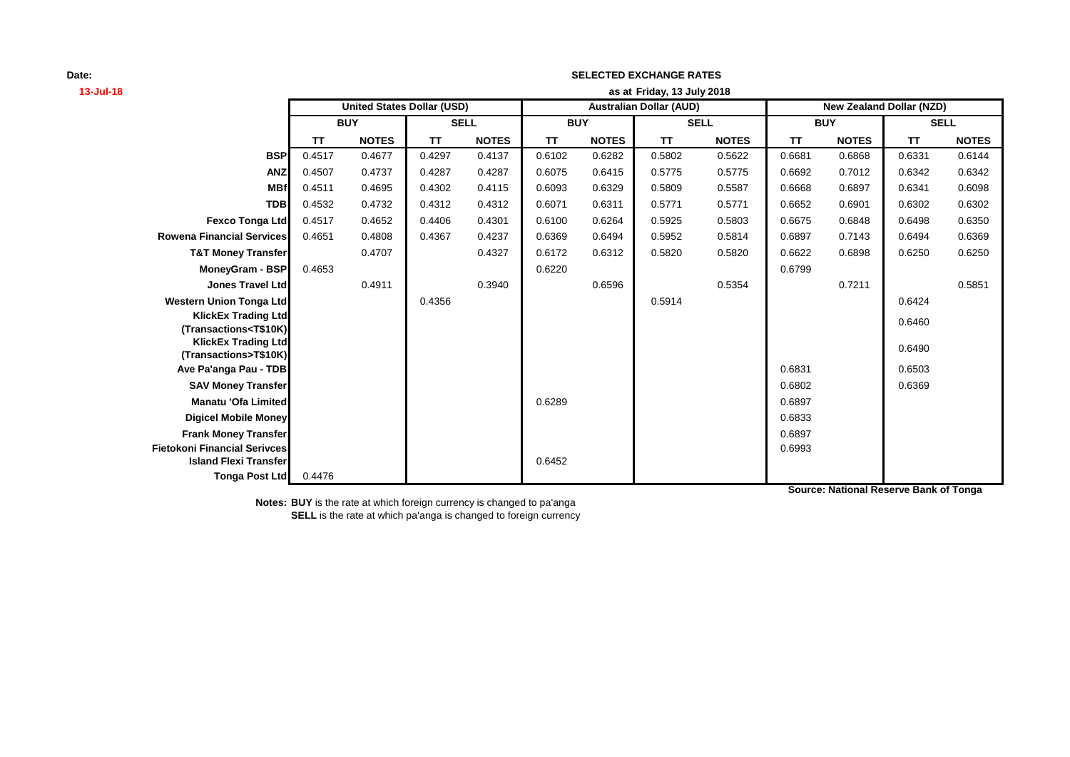# **13-Jul-18 as at TT NOTES TT NOTES TT NOTES TT NOTES TT NOTES TT NOTES BSP** 0.4517 0.4677 0.4297 0.4137 0.6102 0.6282 0.5802 0.5622 0.6681 0.6868 0.6331 0.6144 **ANZ** 0.4507 0.4737 0.4287 0.4287 0.6075 0.6415 0.5775 0.5775 0.6692 0.7012 0.6342 0.6342 **MBf** 0.4511 0.4695 0.4302 0.4115 0.6093 0.6329 0.5809 0.5587 0.6668 0.6897 0.6341 0.6098 **TDB** 0.4532 0.4732 0.4312 0.4312 0.6071 0.6311 0.5771 0.5771 0.6652 0.6901 0.6302 0.6302 **Fexco Tonga Ltd** 0.4517 0.4652 0.4406 0.4301 0.6100 0.6264 0.5925 0.5803 0.6675 0.6848 0.6498 0.6350 **Rowena Financial Services** 0.4651 0.4808 0.4367 0.4237 0.6369 0.6494 0.5952 0.5814 0.6897 0.7143 0.6494 0.6369 **T&T Money Transfer** 0.4707 0.4327 0.6172 0.6312 0.5820 0.5820 0.6622 0.6898 0.6250 0.6250 **MoneyGram - BSP** 0.4653 0.6799 **Jones Travel Ltd** 0.4911 0.3940 0.6596 0.5354 0.7211 0.5851 **Western Union Tonga Ltd 1.5914 0.5914 0.5914 0.5914 0.5914 0.5914 0.5914 0.5914 0.5914 0.5424 0.5424 KlickEx Trading Ltd (Transactions<T\$10K)** 0.6460 **KlickEx Trading Ltd**<br>**(Transactions>T\$10K) (Transactions>T\$10K)** 0.6490 **Ave Pa'anga Pau - TDB** 0.6503 **SAV Money Transfer** 0.6802 0.6369 **Manatu 'Ofa Limited Development Construction Construction Construction Construction Construction Construction Digicel Mobile Money** 0.6833 **Frank Money Transfer** 0.6897 **Fietokoni Financial Serivces** 0.6993 **Island Flexi Transfer Contract Contract Contract Contract Contract Contract Contract Contract Contract Contract Contract Contract Contract Contract Contract Contract Contract Contract Contract Contract Contract Contract Tonga Post Ltd** 0.4476 **SELL United States Dollar (USD) Australian Dollar (AUD) New Zealand Dollar (NZD) BUY SELL BUY SELL BUY Friday, 13 July 2018**

**SELECTED EXCHANGE RATES**

**Notes: BUY** is the rate at which foreign currency is changed to pa'anga **SELL** is the rate at which pa'anga is changed to foreign currency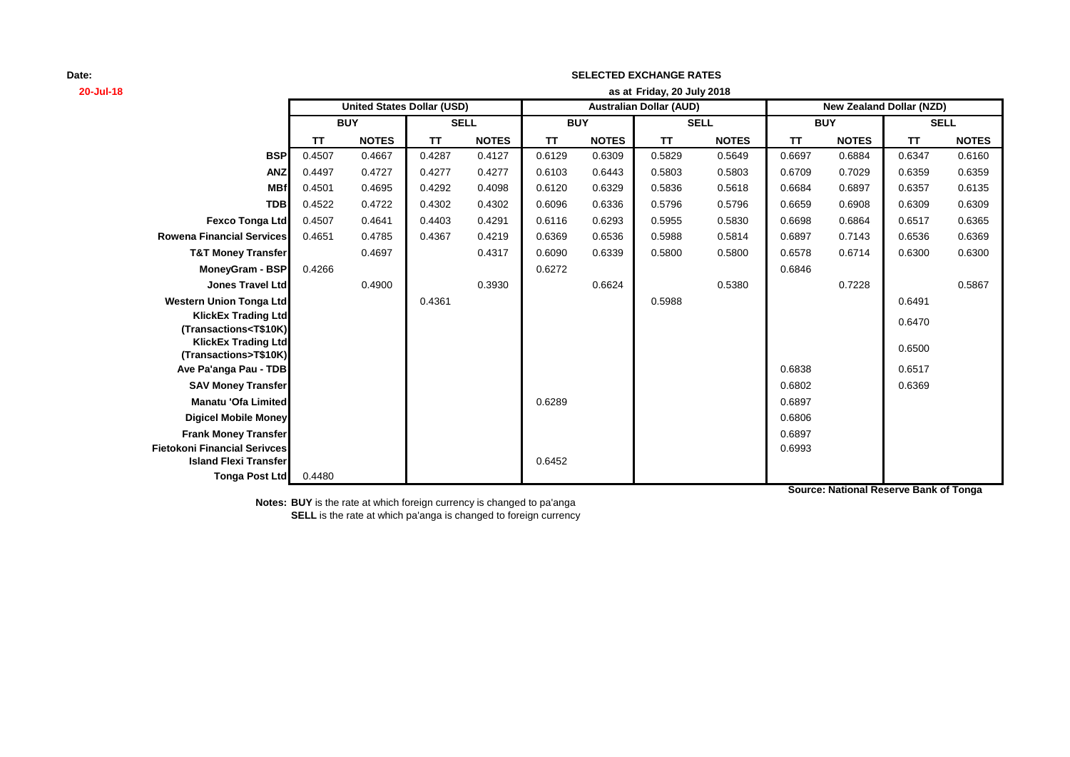# **20-Jul-18 as at TT NOTES TT NOTES TT NOTES TT NOTES TT NOTES TT NOTES BSP** 0.4507 0.4667 0.4287 0.4127 0.6129 0.6309 0.5829 0.5649 0.6697 0.6884 0.6347 0.6160 **ANZ** 0.4497 0.4727 0.4277 0.4277 0.6103 0.6443 0.5803 0.5803 0.6709 0.7029 0.6359 0.6359 **MBf** 0.4501 0.4695 0.4292 0.4098 0.6120 0.6329 0.5836 0.5618 0.6684 0.6897 0.6357 0.6135 **TDB** 0.4522 0.4722 0.4302 0.4302 0.6096 0.6336 0.5796 0.5796 0.6659 0.6908 0.6309 0.6309 **Fexco Tonga Ltd** 0.4507 0.4641 0.4403 0.4291 0.6116 0.6293 0.5955 0.5830 0.6698 0.6864 0.6517 0.6365 **Rowena Financial Services** 0.4651 0.4785 0.4367 0.4219 0.6369 0.6536 0.5988 0.5814 0.6897 0.7143 0.6536 0.6369 **T&T Money Transfer** 0.4697 0.4317 0.6090 0.6339 0.5800 0.5800 0.6578 0.6714 0.6300 0.6300 **MoneyGram - BSP** 0.4266 0.6846 **Jones Travel Ltd| 0.4900 0.3930 0.6624 0.5380 0.7228 0.5867 Western Union Tonga Ltd 1.6491 0.4361** 0.4361 0.5988 0.5988 0.6491 0.6491 **KlickEx Trading Ltd (Transactions<T\$10K)** 0.6470 **KlickEx Trading Ltd**<br>**(Transactions>T\$10K) (Transactions>T\$10K)** 0.6500 **Ave Pa'anga Pau - TDB** 0.6517 **SAV Money Transfer** 0.6802 0.6369 **Manatu 'Ofa Limited Development Construction Construction Construction Construction Construction Construction Digicel Mobile Money** 0.6806 **Frank Money Transfer** 0.6897 **Fietokoni Financial Serivces** 0.6993 **Island Flexi Transfer Contract Contract Contract Contract Contract Contract Contract Contract Contract Contract Contract Contract Contract Contract Contract Contract Contract Contract Contract Contract Contract Contract Tonga Post Ltd** 0.4480 **SELL United States Dollar (USD) Australian Dollar (AUD) New Zealand Dollar (NZD) BUY SELL BUY SELL BUY Friday, 20 July 2018**

**SELECTED EXCHANGE RATES**

**Notes: BUY** is the rate at which foreign currency is changed to pa'anga **SELL** is the rate at which pa'anga is changed to foreign currency